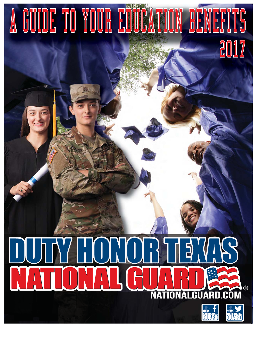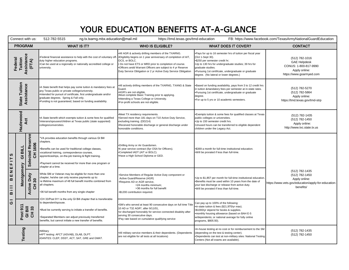## YOUR EDUCATION BENEFITS AT-A-GLANCE

| Connect with us:                                                                                              |                              |                                        | 512-782-5515<br>ng.tx.txarng.mbx.education@mail.mil                                                                                                                                                                                                                                                                        | https://tmd.texas.gov/tmd-education                                                                                                                                                                                                                              |                                                                                                                                                                                                                                                                                                 | FB: https://www.facebook.com/TexasArmyNationalGuardEducation                                                          |
|---------------------------------------------------------------------------------------------------------------|------------------------------|----------------------------------------|----------------------------------------------------------------------------------------------------------------------------------------------------------------------------------------------------------------------------------------------------------------------------------------------------------------------------|------------------------------------------------------------------------------------------------------------------------------------------------------------------------------------------------------------------------------------------------------------------|-------------------------------------------------------------------------------------------------------------------------------------------------------------------------------------------------------------------------------------------------------------------------------------------------|-----------------------------------------------------------------------------------------------------------------------|
| <b>PROGRAM</b>                                                                                                |                              |                                        | <b>WHAT IS IT?</b>                                                                                                                                                                                                                                                                                                         | <b>WHO IS ELIGIBLE?</b>                                                                                                                                                                                                                                          | <b>WHAT DOES IT COVER?</b>                                                                                                                                                                                                                                                                      | <b>CONTACT</b>                                                                                                        |
| Assistance<br>Tuition<br>Federal<br>(FTA)                                                                     |                              |                                        | •Federal financial assistance to help with the cost of voluntary off- •Eligibility begins on 1 year anniversary of completion of AIT,<br>duty higher education programs.<br>.Can be used at a regionally or nationally accredited college or<br>university.                                                                | .All AGR & actively drilling members of the TXARNG.<br>OCS, or BOLC.<br>. Do not have ETS or MRD prior to completion of course.<br>.Officers andd Warrant Officers are subject to 4 yr Reserve<br>Duty Service Obligation or 2 yr Active Duty Service Obligation | .Pays for up to 16 semester hrs of tuition per fiscal year<br>(Oct 1-Sept 30).<br>•\$250 per semester credit hr;<br>.Up to 130 hrs for undergraduate studies; 39 hrs for<br>graduate studies.<br>.Pursuing 1st certificate, undergraduate or graduate<br>degree. (No lateral or lower degrees.) | (512) 782-1016<br><b>GAE Helpdesk</b><br>CONUS: 1-800-817-9990<br>Apply online:<br>https://www.goarmyed.com           |
| Tuition<br>Assistance<br><b>State</b>                                                                         |                              |                                        | •A State benefit that helps pay some tuition & mandatory fees at<br>any Texas public or private college/university.<br>.Intended for pursuit of certificate, first undergraduate and/or<br>graduate degrees. Spring & Fall only.<br>.Funding is not guaranteed, based on funding availability.                             | .All actively drilling members of the TXARNG, TXANG & State<br>Guard.<br>•AGR's are not eligible.<br>.Must complete Basic Training prior to applying.<br>•Attending a Texas College or University.<br>•For-profit schools are not eligible.                      | .Based on funding availability, pays from 3 to 12 credit hrs<br>in tuition &mandatory fees per semester at in-state rates.<br>.Pursuing 1st certificate, undergraduate or graduate<br>degree.<br>.For up to 5 yrs or 10 academic semesters.                                                     | (512) 782-5270<br>(512) 782-5864<br>Apply online:<br>https://tmd.texas.gov/tmd-strp                                   |
| Hazlewood<br><b>Act</b>                                                                                       |                              |                                        | •A State benefit which exempts tuition & some fees for qualified<br>Veterans/spouses/children at Texas public (state supported)<br>colleges/universities.                                                                                                                                                                  | •Meet TX residency requirements.<br>•Served more than 181 days on T10 Active Duty Service,<br>excluding training. (DD214)<br>•Received honorable discharge or general discharge under<br>honorable conditions.                                                   | .Exempts tuition & some fees for qualified classes at Texas<br>public colleges or universities.<br>.Up to 150 semester credit hrs.<br>.Unused hours can be transferred to eligible dependent<br>children under the Legacy Act.                                                                  | (512) 782-1435<br>(512) 782-1450<br>Apply online:<br>http://www.tvc.state.tx.us                                       |
| S<br>FIT<br>ш<br>$\sum_{i=1}^{n}$<br>$\boldsymbol{\underline{\omega}}$<br>$\equiv$<br>$\pmb{\mathsf{m}}$<br>ပ | <b>GIBILL</b>                | Reserve<br>CH 1606<br>Selected         | VA provides education benefits through various GI Bill<br>chapters.<br>*Benefits can be used for traditional college classes,<br>vocational training, correspondence courses,<br>apprenticeships, on-the-job training & flight training.<br>•Payment cannot be received for more than one program or<br>chapter at a time. | .Drilling Army or Air Guardsmen.<br>•6 year service contract (6yr OSA for Officers).<br>.Completed IADT (AIT or BOLC).<br>.Have a High School Diploma or GED.                                                                                                    | •\$369 a month for full-time institutional education.<br>.Will be prorated if less than full-time.                                                                                                                                                                                              |                                                                                                                       |
|                                                                                                               | Montgomery                   | Duty<br>30<br>Active<br>$\overline{5}$ | While SM or Veteran may be eligible for more than one<br>chapter, he/she can only receive payments up to:<br>•a lifetime maximum of 48 full benefit months combined from<br>all chapters.<br>36 full benefit months from any single chapter                                                                                | •Service Members of Regular Active Duty component or<br>Active Guard/Reserve (AGR)<br>.Requires AD or AGR service,<br>>24 months minimum;<br>>36 months for full benefit<br>•\$1200 contribution required.                                                       | .Up to \$1,857 per month for full-time institutional education.<br>•Benefits must be used within 10 years from the date of<br>your last discharge or release from active duty.<br>.Will be prorated if less than full-time.                                                                     | (512) 782-1435<br>(512) 782-1450<br>Apply online:<br>https://www.vets.gov/education/apply-for-education-<br>benefits/ |
|                                                                                                               | Post 911<br>GI Bill<br>CH 33 |                                        | .CH 33/Post 911 is the only GI Bill chapter that is transferable<br>to dependent/spouse.<br>•Must be currently serving to initiate a transfer of benefits.<br>·Separated Members can adjust previously transferred<br>benefits, but cannot initiate a new transfer of benefits.                                            | .SM's who served at least 90 consecutive days on full time Title<br>10 AD or T32 AGR*, after 9/11/01,<br>•or discharged honorably for service connected disabiity after<br>serving 30 consecutive days.<br>.Pay rate based on cumulative qualifying service      | Can pay up to 100% of the following:<br>•in-state tuition & fees (\$21,970/yr max).<br>•\$1000/yr stipend for books & supplies.<br>.monthly housing allowance (based on BAH E-5<br>w/dependents; or national average for fully online<br>programs, \$805.50).                                   |                                                                                                                       |
| Testing                                                                                                       |                              |                                        | •Military<br>.APT testing: AFCT (ASVAB), DLAB, DLPT.<br>.DANTES: CLEP, DSST, ACT, SAT, GRE and GMAT.                                                                                                                                                                                                                       | .All military service members & their dependents. (Dependents<br>are not eligible for all tests at all locations)                                                                                                                                                | .In-house testing at no cost or for reimbursement to the SM<br>(depending on the test & testing center).<br>•Dependents can test at non-military sites: National Testing<br>Centers (Not all exams are available).                                                                              | (512) 782-1435<br>(512) 782-1450                                                                                      |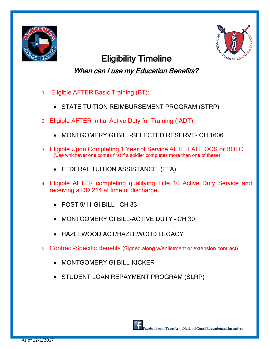



Eligibility Timeline When can I use my Education Benefits?

- 1. Eligible AFTER Basic Training (BT):
	- STATE TUITION REIMBURSEMENT PROGRAM (STRP)
- 2. Eligible AFTER Initial Active Duty for Training (IADT):
	- MONTGOMERY GI BILL-SELECTED RESERVE- CH 1606
- 3. Eligible Upon Completing 1 Year of Service AFTER AIT, OCS or BOLC (Use whichever one comes first if a soldier completes more than one of these)
	- FEDERAL TUITION ASSISTANCE (FTA)
- 4. Eligible AFTER completing qualifying Title 10 Active Duty Service and receiving a DD 214 at time of discharge.
	- $\bullet$  POST 9/11 GI BILL CH 33
	- MONTGOMERY GI BILL-ACTIVE DUTY CH 30
	- HAZLEWOOD ACT/HAZLEWOOD LEGACY
- 5. Contract-Specific Benefits (Signed along w/enlistment or extension contract)
	- MONTGOMERY GI BILL-KICKER
	- STUDENT LOAN REPAYMENT PROGRAM (SLRP)

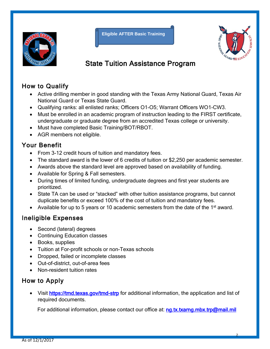

**Eligible AFTER Basic Training**



## State Tuition Assistance Program

#### How to Qualify

- Active drilling member in good standing with the Texas Army National Guard, Texas Air National Guard or Texas State Guard.
- Qualifying ranks: all enlisted ranks; Officers O1-O5; Warrant Officers WO1-CW3.
- Must be enrolled in an academic program of instruction leading to the FIRST certificate, undergraduate or graduate degree from an accredited Texas college or university.
- Must have completed Basic Training/BOT/RBOT.
- AGR members not eligible.

#### Your Benefit

- From 3-12 credit hours of tuition and mandatory fees.
- The standard award is the lower of 6 credits of tuition or \$2,250 per academic semester.
- Awards above the standard level are approved based on availability of funding.
- Available for Spring & Fall semesters.
- During times of limited funding, undergraduate degrees and first year students are prioritized.
- State TA can be used or "stacked" with other tuition assistance programs, but cannot duplicate benefits or exceed 100% of the cost of tuition and mandatory fees.
- Available for up to 5 years or 10 academic semesters from the date of the 1<sup>st</sup> award.

#### Ineligible Expenses

- Second (lateral) degrees
- Continuing Education classes
- Books, supplies
- Tuition at For-profit schools or non-Texas schools
- Dropped, failed or incomplete classes
- Out-of-district, out-of-area fees
- Non-resident tuition rates

## How to Apply

• Visit<https://tmd.texas.gov/tmd-strp> for additional information, the application and list of required documents.

For additional information, please contact our office at: [ng.tx.txarng.mbx.trp@mail.mil](mailto:ng.tx.txarng.mbx.trp@mail.mil)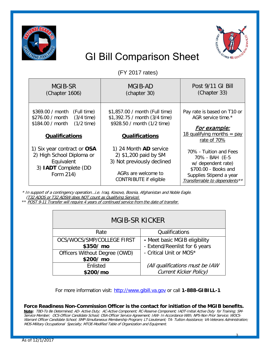



## GI Bill Comparison Sheet

(FY 2017 rates)

| MGIB-SR<br>(Chapter 1606)                                                                                                   | MGIB-AD<br>(chapter 30)                                                                                                               | Post 9/11 GI Bill<br>(Chapter 33)                                                                                                                  |
|-----------------------------------------------------------------------------------------------------------------------------|---------------------------------------------------------------------------------------------------------------------------------------|----------------------------------------------------------------------------------------------------------------------------------------------------|
| \$369.00 / month (Full time)<br>$$276.00 / month$ $(3/4 time)$<br>$(1/2$ time)<br>\$184.00 / month<br><b>Qualifications</b> | \$1,857.00 / month (Full time)<br>\$1,392.75 / month (3/4 time)<br>\$928.50 / month (1/2 time)<br><b>Qualifications</b>               | Pay rate is based on T10 or<br>AGR service time.*<br><u> For example:</u><br>18 qualifying months = $pay$<br>rate of 70%                           |
| 1) Six year contract or OSA<br>2) High School Diploma or<br>Equivalent<br>3) <b>IADT</b> Complete (DD<br>Form 214)          | 1) 24 Month AD service<br>2) \$1,200 paid by SM<br>3) Not previously declined<br>AGRs are welcome to<br><b>CONTRIBUTE if eligible</b> | 70% - Tuition and Fees<br>70% - BAH (E-5<br>w/ dependent rate)<br>\$700.00 - Books and<br>Supplies Stipend a year<br>Transferrable to dependents** |

\* In support of a contingency operation…i.e. Iraq, Kosovo, Bosnia, Afghanistan and Noble Eagle. (T32 ADOS or T32 ADSW does NOT count as Qualifying Service)

\*\* POST 9-11 Transfer will require 4 years of continued service from the date of transfer.

| MGIB-SR KICKER                            |                                                                |  |  |  |  |
|-------------------------------------------|----------------------------------------------------------------|--|--|--|--|
| Rate                                      | Qualifications                                                 |  |  |  |  |
| OCS/WOCS/SMP/COLLEGE FIRST<br>\$350/ mo   | - Meet basic MGIB eligibility<br>- Extend/Reenlist for 6 years |  |  |  |  |
| Officers Without Degree (OWD)<br>\$200/mo | - Critical Unit or MOS*                                        |  |  |  |  |
| Enlisted                                  | (All qualifications must be IAW                                |  |  |  |  |
| \$200/mo                                  | <b>Current Kicker Policy)</b>                                  |  |  |  |  |

For more information visit: [http://www.gibill.va.gov](http://www.gibill.va.gov/) or call **1-888-GIBILL-1**

**Force Readiness Non-Commission Officer is the contact for initiation of the MGIB benefits.**

**Note:** TBD-To Be Determined; AD- Active Duty; AC-Active Component; RC-Reserve Component; IADT-Initial Active Duty for Training; SM-Service Member; OCS-Officer Candidate School; OSA-Officer Service Agreement; IAW- In Accordance With; NPS-Non Prior Service; WOCS-Warrant Officer Candidate School; SMP-Simultaneous Membership Program; LT-Lieutenant; TA- Tuition Assistance; VA-Veterans Administration; MOS-Military Occupational Specialty; MTOE-Modified Table of Organization and Equipment.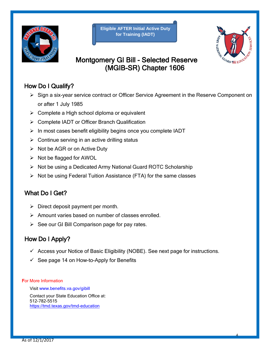

**Eligible AFTER Initial Active Duty for Training (IADT)**



## Montgomery GI Bill - Selected Reserve (MGIB-SR) Chapter 1606

#### How Do I Qualify?

- ▶ Sign a six-year service contract or Officer Service Agreement in the Reserve Component on or after 1 July 1985
- $\triangleright$  Complete a High school diploma or equivalent
- Complete IADT or Officer Branch Qualification
- $\triangleright$  In most cases benefit eligibility begins once you complete IADT
- $\triangleright$  Continue serving in an active drilling status
- $\triangleright$  Not be AGR or on Active Duty
- $\triangleright$  Not be flagged for AWOL
- $\triangleright$  Not be using a Dedicated Army National Guard ROTC Scholarship
- $\triangleright$  Not be using Federal Tuition Assistance (FTA) for the same classes

#### What Do I Get?

- $\triangleright$  Direct deposit payment per month.
- $\triangleright$  Amount varies based on number of classes enrolled.
- $\triangleright$  See our GI Bill Comparison page for pay rates.

#### How Do I Apply?

- $\checkmark$  Access your Notice of Basic Eligibility (NOBE). See next page for instructions.
- $\checkmark$  See page 14 on How-to-Apply for Benefits

#### For More Information

Visit [www.benefits.va.gov/gibill](http://www.benefits.va.gov/gibill)

Contact your State Education Office at: 512-782-5515 <https://tmd.texas.gov/tmd-education>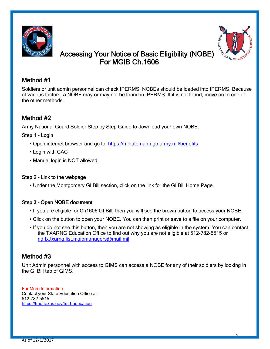



#### Accessing Your Notice of Basic Eligibility (NOBE) For MGIB Ch.1606

#### Method #1

Soldiers or unit admin personnel can check IPERMS. NOBEs should be loaded into IPERMS. Because of various factors, a NOBE may or may not be found in IPERMS. If it is not found, move on to one of the other methods.

#### Method #2

Army National Guard Soldier Step by Step Guide to download your own NOBE:

#### Step 1 - Login

- Open internet browser and go to: https://minuteman.ngb.army.mil/benefits
- Login with CAC
- Manual login is NOT allowed

#### Step 2 – Link to the webpage

• Under the Montgomery GI Bill section, click on the link for the GI Bill Home Page.

#### Step 3 – Open NOBE document

- If you are eligible for Ch1606 GI Bill, then you will see the brown button to access your NOBE.
- Click on the button to open your NOBE. You can then print or save to a file on your computer.
- If you do not see this button, then you are not showing as eligible in the system. You can contact the TXARNG Education Office to find out why you are not eligible at 512-782-5515 or [ng.tx.txarng.list.mgibmanagers@mail.mil](mailto:ng.tx.txarng.list.mgibmanagers@mail.mil)

#### Method #3

Unit Admin personnel with access to GIMS can access a NOBE for any of their soldiers by looking in the GI Bill tab of GIMS.

For More Information Contact your State Education Office at: 512-782-5515 <https://tmd.texas.gov/tmd-education>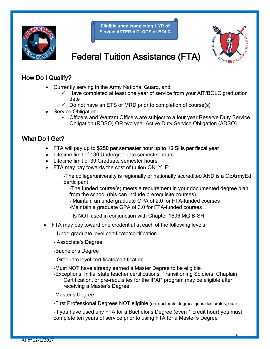

**Eligible upon completing 1 YR of Service AFTER AIT, OCS or BOLC** 



## Federal Tuition Assistance (FTA)

#### How Do I Qualify?

- Currently serving in the Army National Guard, and
	- $\checkmark$  Have completed at least one year of service from your AIT/BOLC graduation date
	- $\checkmark$  Do not have an ETS or MRD prior to completion of course(s)
- **Service Obligation** 
	- $\checkmark$  Officers and Warrant Officers are subject to a four year Reserve Duty Service Obligation (RDSO) OR two year Active Duty Service Obligation (ADSO)

#### What Do I Get?

- FTA will pay up to \$250 per semester hour up to 16 SHs per fiscal year
- Lifetime limit of 130 Undergraduate semester hours
- Lifetime limit of 39 Graduate semester hours
- FTA may pay towards the cost of tuition ONLY IF:
	- -The college/university is regionally or nationally accredited AND is a GoArmyEd participant

-The funded course(s) meets a requirement in your documented degree plan from the school (this can include prerequisite courses)

- Maintain an undergraduate GPA of 2.0 for FTA-funded courses -Maintain a graduate GPA of 3.0 for FTA-funded courses
- Is NOT used in conjunction with Chapter 1606 MGIB-SR
- FTA may pay toward one credential at each of the following levels:
	- Undergraduate level certificate/certification
	- Associate's Degree
	- -Bachelor's Degree
	- Graduate level certificate/certification
	- -Must NOT have already earned a Master Degree to be eligible
	- -Exceptions: Initial state teacher certifications, Transitioning Soldiers, Chaplain Certification, or pre-requisites for the IPAP program may be eligible after receiving a Master's Degree
	- -Master's Degree

-First Professional Degrees NOT eligible (i.e. doctorate degrees, juris doctorates, etc.)

-If you have used any FTA for a Bachelor's Degree (even 1 credit hour) you must complete ten years of service prior to using FTA for a Master's Degree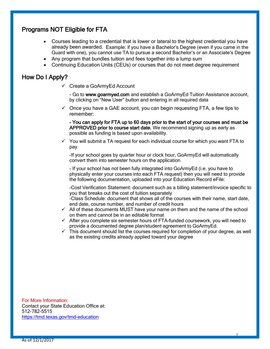#### Programs NOT Eligible for FTA

- Courses leading to a credential that is lower or lateral to the highest credential you have already been awarded. Example: if you have a Bachelor's Degree (even if you came in the Guard with one), you cannot use TA to pursue a second Bachelor's or an Associate's Degree
- Any program that bundles tuition and fees together into a lump sum
- Continuing Education Units (CEUs) or courses that do not meet degree requirement

#### How Do I Apply?

Create a GoArmyEd Account

- Go to www.goarmyed.com and establish a GoArmyEd Tuition Assistance account, by clicking on "New User" button and entering in all required data

 $\checkmark$  Once you have a GAE account, you can begin requesting FTA, a few tips to remember:

- You can apply for FTA up to 60 days prior to the start of your courses and must be APPROVED prior to course start date. We recommend signing up as early as possible as funding is based upon availability.

 $\checkmark$  You will submit a TA request for each individual course for which you want FTA to pay

-If your school goes by quarter hour or clock hour, GoArmyEd will automatically convert them into semester hours on the application

- If your school has not been fully integrated into GoArmyEd (i.e. you have to physically enter your courses into each FTA request) then you will need to provide the following documentation, uploaded into your Education Record eFile:

-Cost Verification Statement: document such as a billing statement/invoice specific to you that breaks out the cost of tuition separately

-Class Schedule: document that shows all of the courses with their name, start date, end date, course number, and number of credit hours

- $\checkmark$  All of these documents MUST have your name on them and the name of the school on them and cannot be in an editable format
- $\checkmark$  After you complete six semester hours of FTA-funded coursework, you will need to provide a documented degree plan/student agreement to GoArmyEd.
- $\checkmark$  This document should list the courses required for completion of your degree, as well as the existing credits already applied toward your degree

For More Information: Contact your State Education Office at: 512-782-5515 <https://tmd.texas.gov/tmd-education>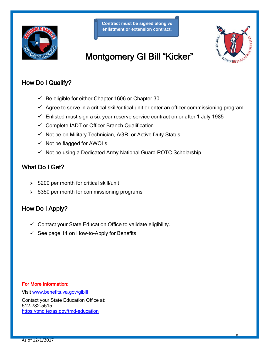

**Contract must be signed along w/ enlistment or extension contract.**



## Montgomery GI Bill "Kicker"

#### How Do I Qualify?

- $\checkmark$  Be eligible for either Chapter 1606 or Chapter 30
- $\checkmark$  Agree to serve in a critical skill/critical unit or enter an officer commissioning program
- $\checkmark$  Enlisted must sign a six year reserve service contract on or after 1 July 1985
- $\checkmark$  Complete IADT or Officer Branch Qualification
- $\checkmark$  Not be on Military Technician, AGR, or Active Duty Status
- $\checkmark$  Not be flagged for AWOLs
- $\checkmark$  Not be using a Dedicated Army National Guard ROTC Scholarship

#### What Do I Get?

- $\geq$  \$200 per month for critical skill/unit
- $\geq$  \$350 per month for commissioning programs

#### How Do I Apply?

- $\checkmark$  Contact your State Education Office to validate eligibility.
- $\checkmark$  See page 14 on How-to-Apply for Benefits

#### For More Information:

Visit [www.benefits.va.gov/gibill](http://www.benefits.va.gov/gibill)

Contact your State Education Office at: 512-782-5515 <https://tmd.texas.gov/tmd-education>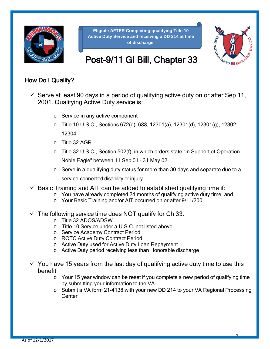

**Eligible AFTER Completing qualifying Title 10 Active Duty Service and receiving a DD 214 at time of discharge.**



## Post-9/11 GI Bill, Chapter 33

#### How Do I Qualify?

- $\checkmark$  Serve at least 90 days in a period of qualifying active duty on or after Sep 11, 2001. Qualifying Active Duty service is:
	- o Service in any active component
	- o Title 10 U.S.C., Sections 672(d), 688, 12301(a), 12301(d), 12301(g), 12302, 12304
	- o Title 32 AGR
	- o Title 32 U.S.C., Section 502(f), in which orders state "In Support of Operation Noble Eagle" between 11 Sep 01 – 31 May 02
	- o Serve in a qualifying duty status for more than 30 days and separate due to a service-connected disability or injury.
- $\checkmark$  Basic Training and AIT can be added to established qualifying time if:
	- o You have already completed 24 months of qualifying active duty time; and
		- o Your Basic Training and/or AIT occurred on or after 9/11/2001
- $\checkmark$  The following service time does NOT qualify for Ch 33:
	- o Title 32 ADOS/ADSW
	- o Title 10 Service under a U.S.C. not listed above
	- o Service Academy Contract Period
	- o ROTC Active Duty Contract Period
	- o Active Duty used for Active Duty Loan Repayment
	- o Active Duty period receiving less than Honorable discharge
- $\checkmark$  You have 15 years from the last day of qualifying active duty time to use this benefit
	- o Your 15 year window can be reset if you complete a new period of qualifying time by submitting your information to the VA
	- o Submit a VA form 21-4138 with your new DD 214 to your VA Regional Processing **Center**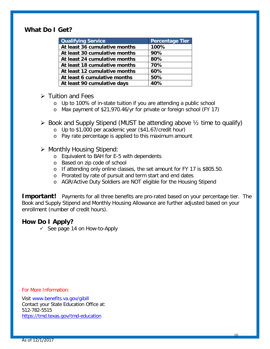#### **What Do I Get?**

| Percentage Tier |
|-----------------|
| 100%            |
| 90%             |
| 80%             |
| 70%             |
| 60%             |
| 50%             |
| 40%             |
|                 |

#### $\triangleright$  Tuition and Fees

- o Up to 100% of in-state tuition if you are attending a public school
- o Max payment of \$21,970.46/yr for private or foreign school (FY 17)

#### $\triangleright$  Book and Supply Stipend (MUST be attending above  $\frac{1}{2}$  time to qualify)

- o Up to \$1,000 per academic year (\$41.67/credit hour)
- o Pay rate percentage is applied to this maximum amount

#### $\triangleright$  Monthly Housing Stipend:

- o Equivalent to BAH for E-5 with dependents
- o Based on zip code of school
- o If attending only online classes, the set amount for FY 17 is \$805.50.
- o Prorated by rate of pursuit and term start and end dates
- o AGR/Active Duty Soldiers are NOT eligible for the Housing Stipend

**Important!** Payments for all three benefits are pro-rated based on your percentage tier. The Book and Supply Stipend and Monthly Housing Allowance are further adjusted based on your enrollment (number of credit hours).

#### **How Do I Apply?**

 $\checkmark$  See page 14 on How-to-Apply

For More Information:

Visit [www.benefits.va.gov/gibill](http://www.benefits.va.gov/gibill) Contact your State Education Office at: 512-782-5515 <https://tmd.texas.gov/tmd-education>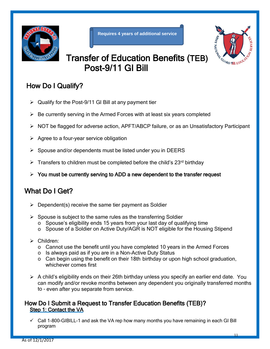



## Transfer of Education Benefits (TEB) Post-9/11 GI Bill

## How Do I Qualify?

- $\triangleright$  Qualify for the Post-9/11 GI Bill at any payment tier
- $\triangleright$  Be currently serving in the Armed Forces with at least six years completed
- ▶ NOT be flagged for adverse action, APFT/ABCP failure, or as an Unsatisfactory Participant
- $\triangleright$  Agree to a four-year service obligation
- $\triangleright$  Spouse and/or dependents must be listed under you in DEERS
- $\triangleright$  Transfers to children must be completed before the child's 23<sup>rd</sup> birthday
- $\triangleright$  You must be currently serving to ADD a new dependent to the transfer request

## What Do I Get?

- $\triangleright$  Dependent(s) receive the same tier payment as Soldier
- $\triangleright$  Spouse is subject to the same rules as the transferring Soldier
	- o Spouse's eligibility ends 15 years from your last day of qualifying time
	- o Spouse of a Soldier on Active Duty/AGR is NOT eligible for the Housing Stipend
- Children:
	- $\circ$  Cannot use the benefit until you have completed 10 years in the Armed Forces
	- o Is always paid as if you are in a Non-Active Duty Status
	- $\circ$  Can begin using the benefit on their 18th birthday or upon high school graduation, whichever comes first
- $\triangleright$  A child's eligibility ends on their 26th birthday unless you specify an earlier end date. You can modify and/or revoke months between any dependent you originally transferred months to – even after you separate from service.

#### How Do I Submit a Request to Transfer Education Benefits (TEB)? Step 1: Contact the VA

 $\checkmark$  Call 1-800-GIBILL-1 and ask the VA rep how many months you have remaining in each GI Bill program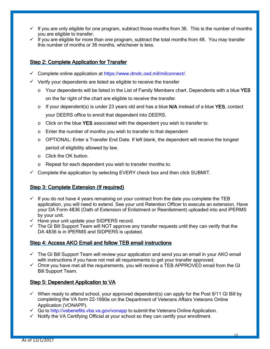- $\checkmark$  If you are only eligible for one program, subtract those months from 36. This is the number of months you are eligible to transfer.
- $\checkmark$  If you are eligible for more than one program, subtract the total months from 48. You may transfer this number of months or 36 months, whichever is less.

#### Step 2: Complete Application for Transfer

- $\checkmark$  Complete online application at [https://www.dmdc.osd.mil/milconnect/.](https://www.dmdc.osd.mil/milconnect/)
- $\checkmark$  Verify your dependents are listed as eligible to receive the transfer
	- $\circ$  Your dependents will be listed in the List of Family Members chart. Dependents with a blue YES on the far right of the chart are eligible to receive the transfer.
	- $\circ$  If your dependent(s) is under 23 years old and has a blue N/A instead of a blue YES, contact your DEERS office to enroll that dependent into DEERS.
	- $\circ$  Click on the blue YES associated with the dependent you wish to transfer to.
	- o Enter the number of months you wish to transfer to that dependent
	- $\circ$  OPTIONAL: Enter a Transfer End Date. If left blank, the dependent will receive the longest period of eligibility allowed by law.
	- o Click the OK button.
	- o Repeat for each dependent you wish to transfer months to.
- $\checkmark$  Complete the application by selecting EVERY check box and then click SUBMIT.

#### Step 3: Complete Extension (If required)

- $\checkmark$  If you do not have 4 years remaining on your contract from the date you complete the TEB application, you will need to extend. See your unit Retention Officer to execute an extension. Have your DA Form 4836 (Oath of Extension of Enlistment or Reenlistment) uploaded into and iPERMS by your unit.
- $\checkmark$  Have your unit update your SIDPERS record.
- $\checkmark$  The GI Bill Support Team will NOT approve any transfer requests until they can verify that the DA 4836 is in IPERMS and SIDPERS is updated.

#### Step 4: Access AKO Email and follow TEB email instructions

- $\checkmark$  The GI Bill Support Team will review your application and send you an email in your AKO email with instructions if you have not met all requirements to get your transfer approved.
- $\checkmark$  Once you have met all the requirements, you will receive a TEB APPROVED email from the GI Bill Support Team.

#### Step 5: Dependent Application to VA

- $\checkmark$  When ready to attend school, your approved dependent(s) can apply for the Post 9/11 GI Bill by completing the VA form 22-1990e on the Department of Veterans Affairs Veterans Online Application (VONAPP).
- $\checkmark$  Go to<http://vabenefits.vba.va.gov/vonapp> to submit the Veterans Online Application.
- $\checkmark$  Notify the VA Certifying Official at your school so they can certify your enrollment.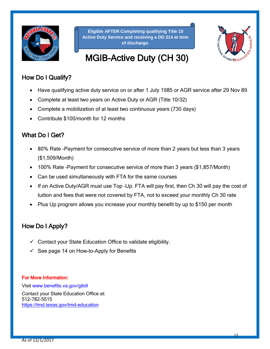

**Eligible AFTER Completing qualifying Title 10 Active Duty Service and receiving a DD 214 at time of discharge.**



## MGIB-Active Duty (CH 30)

#### How Do I Qualify?

- Have qualifying active duty service on or after 1 July 1985 or AGR service after 29 Nov 89
- Complete at least two years on Active Duty or AGR (Title 10/32)
- Complete a mobilization of at least two continuous years (730 days)
- Contribute \$100/month for 12 months

#### What Do I Get?

- 80% Rate -Payment for consecutive service of more than 2 years but less than 3 years (\$1,509/Month)
- 100% Rate -Payment for consecutive service of more than 3 years (\$1,857/Month)
- Can be used simultaneously with FTA for the same courses
- If on Active Duty/AGR must use Top -Up. FTA will pay first, then Ch 30 will pay the cost of tuition and fees that were not covered by FTA, not to exceed your monthly Ch 30 rate
- Plus Up program allows you increase your monthly benefit by up to \$150 per month

#### How Do I Apply?

- $\checkmark$  Contact your State Education Office to validate eligibility.
- $\checkmark$  See page 14 on How-to-Apply for Benefits

#### For More Information:

Visit [www.benefits.va.gov/gibill](http://www.benefits.va.gov/gibill) Contact your State Education Office at: 512-782-5515 <https://tmd.texas.gov/tmd-education>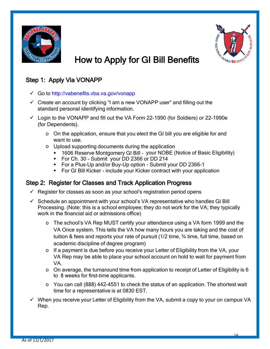



## How to Apply for GI Bill Benefits

#### Step 1: Apply Via VONAPP

- Go to<http://vabenefits.vba.va.gov/vonapp>
- $\checkmark$  Create an account by clicking "I am a new VONAPP user" and filling out the standard personal identifying information.
- $\checkmark$  Login to the VONAPP and fill out the VA Form 22-1990 (for Soldiers) or 22-1990e (for Dependents).
	- o On the application, ensure that you elect the GI bill you are eligible for and want to use.
	- o Upload supporting documents during the application
		- 1606 Reserve Montgomery GI Bill your NOBE (Notice of Basic Eligibility)
		- For Ch. 30 Submit your DD 2366 or DD 214
		- For a Plus-Up and/or Buy-Up option Submit your DD 2366-1
		- For GI Bill Kicker include your Kicker contract with your application

#### Step 2: Register for Classes and Track Application Progress

- $\checkmark$  Register for classes as soon as your school's registration period opens
- $\checkmark$  Schedule an appointment with your school's VA representative who handles GI Bill Processing. (Note: this is a school employee; they do not work for the VA; they typically work in the financial aid or admissions office)
	- o The school's VA Rep MUST certify your attendance using a VA form 1999 and the VA Once system. This tells the VA how many hours you are taking and the cost of tuition & fees and reports your rate of pursuit (1/2 time, ¾ time, full time, based on academic discipline of degree program)
	- o If a payment is due before you receive your Letter of Eligibility from the VA, your VA Rep may be able to place your school account on hold to wait for payment from VA.
	- $\circ$  On average, the turnaround time from application to receipt of Letter of Eligibility is 6 to 8 weeks for first-time applicants.
	- o You can call (888) 442-4551 to check the status of an application. The shortest wait time for a representative is at 0830 EST.
- $\checkmark$  When you receive your Letter of Eligibility from the VA, submit a copy to your on campus VA Rep.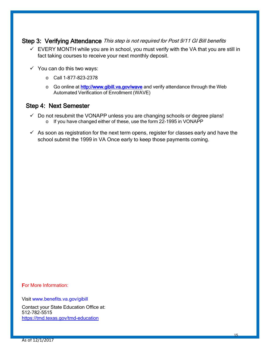## Step 3: Verifying Attendance This step is not required for Post 9/11 GI Bill benefits

- $\checkmark$  EVERY MONTH while you are in school, you must verify with the VA that you are still in fact taking courses to receive your next monthly deposit.
- $\checkmark$  You can do this two ways:
	- o Call 1-877-823-2378
	- o Go online at **<http://www.gibill.va.gov/wave>** and verify attendance through the Web Automated Verification of Enrollment (WAVE)

#### Step 4: Next Semester

- $\checkmark$  Do not resubmit the VONAPP unless you are changing schools or degree plans! o If you have changed either of these, use the form 22-1995 in VONAPP
- $\checkmark$  As soon as registration for the next term opens, register for classes early and have the school submit the 1999 in VA Once early to keep those payments coming.

For More Information:

Visit [www.benefits.va.gov/gibill](http://www.benefits.va.gov/gibill) Contact your State Education Office at: 512-782-5515 <https://tmd.texas.gov/tmd-education>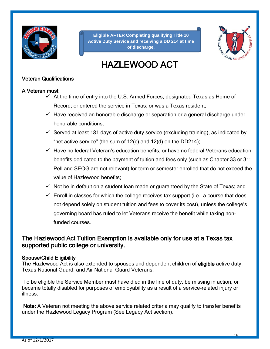

**Eligible AFTER Completing qualifying Title 10 Active Duty Service and receiving a DD 214 at time of discharge.**



## HAZLEWOOD ACT

#### Veteran Qualifications

#### A Veteran must:

- $\checkmark$  At the time of entry into the U.S. Armed Forces, designated Texas as Home of Record; or entered the service in Texas; or was a Texas resident;
- $\checkmark$  Have received an honorable discharge or separation or a general discharge under honorable conditions;
- $\checkmark$  Served at least 181 days of active duty service (excluding training), as indicated by "net active service" (the sum of  $12(c)$  and  $12(d)$  on the DD214);
- $\checkmark$  Have no federal Veteran's education benefits, or have no federal Veterans education benefits dedicated to the payment of tuition and fees only (such as Chapter 33 or 31; Pell and SEOG are not relevant) for term or semester enrolled that do not exceed the value of Hazlewood benefits;
- $\checkmark$  Not be in default on a student loan made or guaranteed by the State of Texas; and
- $\checkmark$  Enroll in classes for which the college receives tax support (i.e., a course that does not depend solely on student tuition and fees to cover its cost), unless the college's governing board has ruled to let Veterans receive the benefit while taking nonfunded courses.

#### The Hazlewood Act Tuition Exemption is available only for use at a Texas tax supported public college or university.

#### Spouse/Child Eligibility

The Hazlewood Act is also extended to spouses and dependent children of eligible active duty, Texas National Guard, and Air National Guard Veterans.

To be eligible the Service Member must have died in the line of duty, be missing in action, or became totally disabled for purposes of employability as a result of a service-related injury or illness.

Note: A Veteran not meeting the above service related criteria may qualify to transfer benefits under the Hazlewood Legacy Program (See Legacy Act section).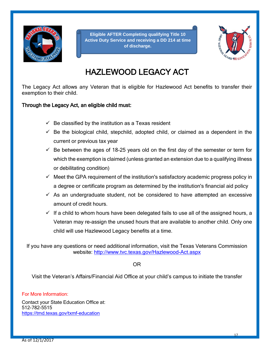

**Eligible AFTER Completing qualifying Title 10 Active Duty Service and receiving a DD 214 at time of discharge.**



## HAZLEWOOD LEGACY ACT

The Legacy Act allows any Veteran that is eligible for Hazlewood Act benefits to transfer their exemption to their child.

#### Through the Legacy Act, an eligible child must:

- $\checkmark$  Be classified by the institution as a Texas resident
- $\checkmark$  Be the biological child, stepchild, adopted child, or claimed as a dependent in the current or previous tax year
- $\checkmark$  Be between the ages of 18-25 years old on the first day of the semester or term for which the exemption is claimed (unless granted an extension due to a qualifying illness or debilitating condition)
- $\checkmark$  Meet the GPA requirement of the institution's satisfactory academic progress policy in a degree or certificate program as determined by the institution's financial aid policy
- $\checkmark$  As an undergraduate student, not be considered to have attempted an excessive amount of credit hours.
- $\checkmark$  If a child to whom hours have been delegated fails to use all of the assigned hours, a Veteran may re-assign the unused hours that are available to another child. Only one child will use Hazlewood Legacy benefits at a time.

If you have any questions or need additional information, visit the Texas Veterans Commission website:<http://www.tvc.texas.gov/Hazlewood-Act.aspx>

OR

Visit the Veteran's Affairs/Financial Aid Office at your child's campus to initiate the transfer

#### For More Information:

Contact your State Education Office at: 512-782-5515 <https://tmd.texas.gov/txmf-education>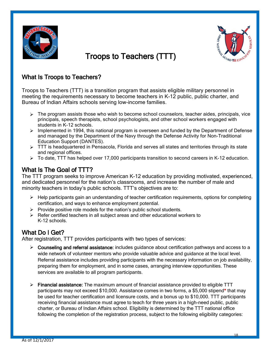

# GUARD SEE EDU

## Troops to Teachers (TTT)

#### What Is Troops to Teachers?

Troops to Teachers (TTT) is a transition program that assists eligible military personnel in meeting the requirements necessary to become teachers in K-12 public, public charter, and Bureau of Indian Affairs schools serving low-income families.

- $\triangleright$  The program assists those who wish to become school counselors, teacher aides, principals, vice principals, speech therapists, school psychologists, and other school workers engaged with students in K-12 schools.
- $\triangleright$  Implemented in 1994, this national program is overseen and funded by the Department of Defense and managed by the Department of the Navy through the Defense Activity for Non-Traditional Education Support (DANTES).
- $\triangleright$  TTT is headquartered in Pensacola, Florida and serves all states and territories through its state and regional offices.
- > To date, TTT has helped over 17,000 participants transition to second careers in K-12 education.

What Is The Goal of TTT?<br>The TTT program seeks to improve American K-12 education by providing motivated, experienced, and dedicated personnel for the nation's classrooms, and increase the number of male and minority teachers in today's public schools. TTT's objectives are to:

- $\triangleright$  Help participants gain an understanding of teacher certification requirements, options for completing certification, and ways to enhance employment potential.
- $\triangleright$  Provide positive role models for the nation's public school students.
- $\triangleright$  Refer certified teachers in all subject areas and other educational workers to K-12 schools.

What Do I Get?<br>After registration, TTT provides participants with two types of services:

- $\triangleright$  Counseling and referral assistance: includes quidance about certification pathways and access to a wide network of volunteer mentors who provide valuable advice and guidance at the local level. Referral assistance includes providing participants with the necessary information on job availability, preparing them for employment, and in some cases, arranging interview opportunities. These services are available to all program participants.
- $\triangleright$  Financial assistance: The maximum amount of financial assistance provided to eligible TTT participants may not exceed \$10,000. Assistance comes in two forms, a \$5,000 stipend\* that may be used for teacher certification and licensure costs, and a bonus up to \$10,000. TTT participants receiving financial assistance must agree to teach for three years in a high-need public, public charter, or Bureau of Indian Affairs school. Eligibility is determined by the TTT national office following the completion of the registration process, subject to the following eligibility categories: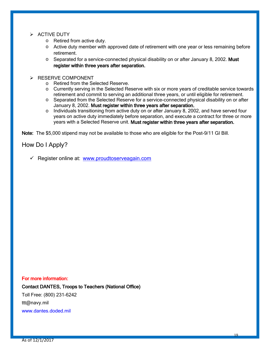#### $\triangleright$  ACTIVE DUTY

- o Retired from active duty.
- $\circ$  Active duty member with approved date of retirement with one year or less remaining before retirement.
- $\circ$  Separated for a service-connected physical disability on or after January 8, 2002. Must register within three years after separation.

#### $\triangleright$  RESERVE COMPONENT

- o Retired from the Selected Reserve.
- o Currently serving in the Selected Reserve with six or more years of creditable service towards retirement and commit to serving an additional three years, or until eligible for retirement.
- o Separated from the Selected Reserve for a service-connected physical disability on or after January 8, 2002. Must register within three years after separation.
- $\circ$  Individuals transitioning from active duty on or after January 8, 2002, and have served four years on active duty immediately before separation, and execute a contract for three or more years with a Selected Reserve unit. Must register within three years after separation.

Note: The \$5,000 stipend may not be available to those who are eligible for the Post-9/11 GI Bill.

#### How Do I Apply?

 $\checkmark$  Register online at: [www.proudtoserveagain.com](http://www.proudtoserveagain.com/)

#### For more information:

Contact DANTES, Troops to Teachers (National Office)

Toll Free: (800) 231-6242 ttt@navy.mil

[www.dantes.doded.mil](http://www.dantes.doded.mil/)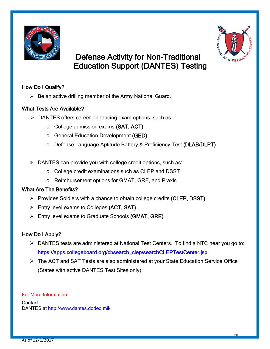



## Defense Activity for Non-Traditional Education Support (DANTES) Testing

#### How Do I Qualify?

 $\triangleright$  Be an active drilling member of the Army National Guard.

#### What Tests Are Available?

- > DANTES offers career-enhancing exam options, such as:
	- o College admission exams (SAT, ACT)
	- o General Education Development (GED)
	- o Defense Language Aptitude Battery & Proficiency Test (DLAB/DLPT)
- $\triangleright$  DANTES can provide you with college credit options, such as:
	- o College credit examinations such as CLEP and DSST
	- o Reimbursement options for GMAT, GRE, and Praxis

#### What Are The Benefits?

- $\triangleright$  Provides Soldiers with a chance to obtain college credits (CLEP, DSST)
- Entry level exams to Colleges (ACT, SAT)
- $\triangleright$  Entry level exams to Graduate Schools (GMAT, GRE)

#### How Do I Apply?

- DANTES tests are administered at National Test Centers. To find a NTC near you go to: [https://apps.collegeboard.org/cbsearch\\_clep/searchCLEPTestCenter.jsp](https://apps.collegeboard.org/cbsearch_clep/searchCLEPTestCenter.jsp)
- The ACT and SAT Tests are also administered at your State Education Service Office (States with active DANTES Test Sites only)

For More Information:

Contact: DANTES at<http://www.dantes.doded.mil/>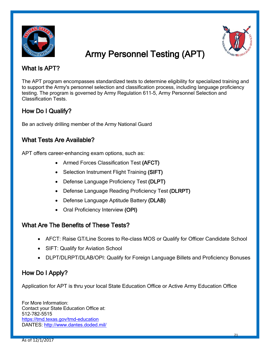



## Army Personnel Testing (APT)

#### What Is APT?

The APT program encompasses standardized tests to determine eligibility for specialized training and to support the Army's personnel selection and classification process, including language proficiency testing. The program is governed by Army Regulation 611-5, Army Personnel Selection and Classification Tests.

#### How Do I Qualify?

Be an actively drilling member of the Army National Guard

#### What Tests Are Available?

APT offers career-enhancing exam options, such as:

- Armed Forces Classification Test (AFCT)
- Selection Instrument Flight Training (SIFT)
- Defense Language Proficiency Test (DLPT)
- Defense Language Reading Proficiency Test (DLRPT)
- Defense Language Aptitude Battery (DLAB)
- Oral Proficiency Interview (OPI)

#### What Are The Benefits of These Tests?

- AFCT: Raise GT/Line Scores to Re-class MOS or Qualify for Officer Candidate School
- SIFT: Qualify for Aviation School
- DLPT/DLRPT/DLAB/OPI: Qualify for Foreign Language Billets and Proficiency Bonuses

#### How Do I Apply?

Application for APT is thru your local State Education Office or Active Army Education Office

For More Information: Contact your State Education Office at: 512-782-5515 <https://tmd.texas.gov/tmd-education> DANTES: http://www.dantes.doded.mil/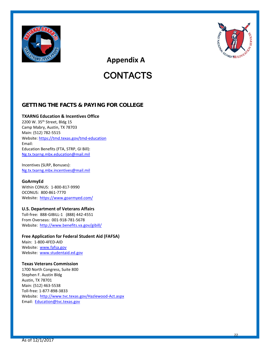



 **Appendix A**

## **CONTACTS**

#### **GETTING THE FACTS & PAYING FOR COLLEGE**

#### **TXARNG Education & Incentives Office**

2200 W. 35th Street, Bldg 15 Camp Mabry, Austin, TX 78703 Main: (512) 782-5515 Website:<https://tmd.texas.gov/tmd-education> Email: Education Benefits (FTA, STRP, GI Bill): [Ng.tx.txarng.mbx.education@mail.mil](mailto:Ng.tx.txarng.mbx.education@mail.mil)

Incentives (SLRP, Bonuses): [Ng.tx.txarng.mbx.incentives@mail.mil](mailto:Ng.tx.txarng.mbx.incentives@mail.mil)

#### **GoArmyEd**

Within CONUS: 1-800-817-9990 OCONUS: 800-861-7770 Website:<https://www.goarmyed.com/>

#### **U.S. Department of Veterans Affairs**

Toll-free: 888-GIBILL-1 (888) 442-4551 From Overseas: 001-918-781-5678 Website:<http://www.benefits.va.gov/gibill/>

#### **Free Application for Federal Student Aid (FAFSA)**

Main: 1-800-4FED-AID Website: [www.fafsa.gov](http://www.fafsa.gov/) Website: [www.studentaid.ed.gov](http://www.studentaid.ed.gov/)

#### **Texas Veterans Commission**

1700 North Congress, Suite 800 Stephen F. Austin Bldg Austin, TX 78701 Main: (512) 463-5538 Toll-free: 1-877-898-3833 Website:<http://www.tvc.texas.gov/Hazlewood-Act.aspx> Email: [Education@tvc.texas.gov](mailto:Education@tvc.texas.gov)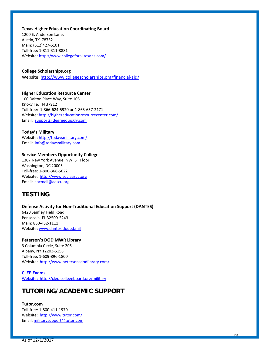**Texas Higher Education Coordinating Board**

1200 E. Anderson Lane, Austin, TX 78752 Main: (512)427-6101 Toll-free: 1-811-311-8881 Website: <http://www.collegeforalltexans.com/>

#### **College Scholarships.org**

Website:<http://www.collegescholarships.org/financial-aid/>

#### **Higher Education Resource Center**

100 Dalton Place Way, Suite 105 Knoxville, TN 37912 Toll-free: 1-866-624-5920 or 1-865-657-2171 Website:<http://highereducationresourcecenter.com/> Email: [support@degreequickly.com](mailto:support@degreequickly.com)

#### **Today's Military**

Website:<http://todaysmilitary.com/> Email: [info@todaysmilitary.com](mailto:info@todaysmilitary.com)

#### **Service Members Opportunity Colleges**

1307 New York Avenue, NW, 5<sup>th</sup> Floor Washington, DC 20005 Toll-free: 1-800-368-5622 Website: [http://www.soc.aascu.org](http://www.soc.aascu.org/) Email: [socmail@aascu.org](mailto:socmail@aascu.org)

#### **TESTING**

#### **Defense Activity for Non-Traditional Education Support (DANTES)**

6420 Saufley Field Road Pensacola, FL 32509-5243 Main: 850-452-1111 Website: [www.dantes.doded.mil](http://www.dantes.doded.mil/)

#### **Peterson's DOD MWR Library**

3 Columbia Circle, Suite 205 Albany, NY 12203-5158 Toll-free: 1-609-896-1800 Website:<http://www.petersonsdodlibrary.com/>

#### **CLEP Exams** Website: http://clep.collegeboard.org/military

#### **TUTORING/ACADEMIC SUPPORT**

#### **Tutor.com**

Toll-free: 1-800-411-1970 Website:<http://www.tutor.com/> Email[: militarysupport@tutor.com](mailto:militarysupport@tutor.com)